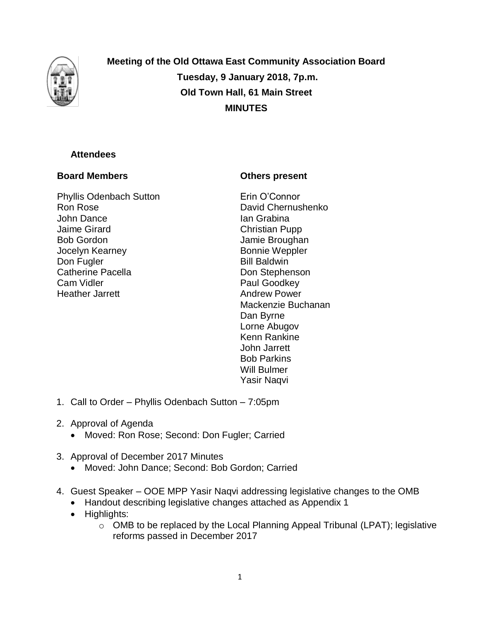

**Meeting of the Old Ottawa East Community Association Board Tuesday, 9 January 2018, 7p.m. Old Town Hall, 61 Main Street MINUTES**

# **Attendees**

# **Board Members**

Phyllis Odenbach Sutton Ron Rose John Dance Jaime Girard Bob Gordon Jocelyn Kearney Don Fugler Catherine Pacella Cam Vidler Heather Jarrett

# **Others present**

Erin O'Connor David Chernushenko Ian Grabina Christian Pupp Jamie Broughan Bonnie Weppler Bill Baldwin Don Stephenson Paul Goodkey Andrew Power Mackenzie Buchanan Dan Byrne Lorne Abugov Kenn Rankine John Jarrett Bob Parkins Will Bulmer Yasir Naqvi

- 1. Call to Order Phyllis Odenbach Sutton 7:05pm
- 2. Approval of Agenda
	- Moved: Ron Rose; Second: Don Fugler; Carried
- 3. Approval of December 2017 Minutes
	- Moved: John Dance; Second: Bob Gordon; Carried
- 4. Guest Speaker OOE MPP Yasir Naqvi addressing legislative changes to the OMB
	- Handout describing legislative changes attached as Appendix 1
	- Highlights:
		- o OMB to be replaced by the Local Planning Appeal Tribunal (LPAT); legislative reforms passed in December 2017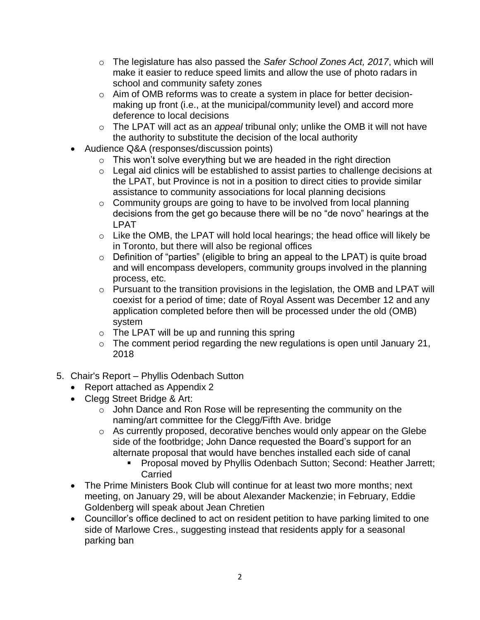- o The legislature has also passed the *Safer School Zones Act, 2017*, which will make it easier to reduce speed limits and allow the use of photo radars in school and community safety zones
- o Aim of OMB reforms was to create a system in place for better decisionmaking up front (i.e., at the municipal/community level) and accord more deference to local decisions
- o The LPAT will act as an *appeal* tribunal only; unlike the OMB it will not have the authority to substitute the decision of the local authority
- Audience Q&A (responses/discussion points)
	- $\circ$  This won't solve everything but we are headed in the right direction
	- o Legal aid clinics will be established to assist parties to challenge decisions at the LPAT, but Province is not in a position to direct cities to provide similar assistance to community associations for local planning decisions
	- o Community groups are going to have to be involved from local planning decisions from the get go because there will be no "de novo" hearings at the LPAT
	- o Like the OMB, the LPAT will hold local hearings; the head office will likely be in Toronto, but there will also be regional offices
	- o Definition of "parties" (eligible to bring an appeal to the LPAT) is quite broad and will encompass developers, community groups involved in the planning process, etc.
	- o Pursuant to the transition provisions in the legislation, the OMB and LPAT will coexist for a period of time; date of Royal Assent was December 12 and any application completed before then will be processed under the old (OMB) system
	- $\circ$  The LPAT will be up and running this spring
	- $\circ$  The comment period regarding the new regulations is open until January 21, 2018
- 5. Chair's Report Phyllis Odenbach Sutton
	- Report attached as Appendix 2
	- Clegg Street Bridge & Art:
		- o John Dance and Ron Rose will be representing the community on the naming/art committee for the Clegg/Fifth Ave. bridge
		- o As currently proposed, decorative benches would only appear on the Glebe side of the footbridge; John Dance requested the Board's support for an alternate proposal that would have benches installed each side of canal
			- **Proposal moved by Phyllis Odenbach Sutton; Second: Heather Jarrett; Carried**
	- The Prime Ministers Book Club will continue for at least two more months; next meeting, on January 29, will be about Alexander Mackenzie; in February, Eddie Goldenberg will speak about Jean Chretien
	- Councillor's office declined to act on resident petition to have parking limited to one side of Marlowe Cres., suggesting instead that residents apply for a seasonal parking ban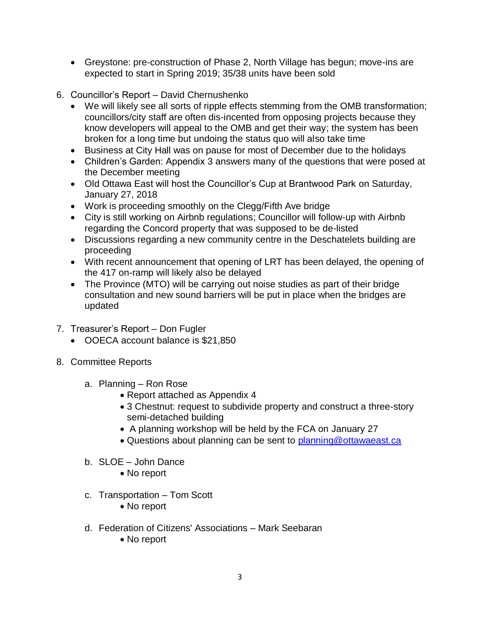- Greystone: pre-construction of Phase 2, North Village has begun; move-ins are expected to start in Spring 2019; 35/38 units have been sold
- 6. Councillor's Report David Chernushenko
	- We will likely see all sorts of ripple effects stemming from the OMB transformation; councillors/city staff are often dis-incented from opposing projects because they know developers will appeal to the OMB and get their way; the system has been broken for a long time but undoing the status quo will also take time
	- Business at City Hall was on pause for most of December due to the holidays
	- Children's Garden: Appendix 3 answers many of the questions that were posed at the December meeting
	- Old Ottawa East will host the Councillor's Cup at Brantwood Park on Saturday, January 27, 2018
	- Work is proceeding smoothly on the Clegg/Fifth Ave bridge
	- City is still working on Airbnb regulations; Councillor will follow-up with Airbnb regarding the Concord property that was supposed to be de-listed
	- Discussions regarding a new community centre in the Deschatelets building are proceeding
	- With recent announcement that opening of LRT has been delayed, the opening of the 417 on-ramp will likely also be delayed
	- The Province (MTO) will be carrying out noise studies as part of their bridge consultation and new sound barriers will be put in place when the bridges are updated
- 7. Treasurer's Report Don Fugler
	- OOECA account balance is \$21,850
- 8. Committee Reports
	- a. Planning Ron Rose
		- Report attached as Appendix 4
		- 3 Chestnut: request to subdivide property and construct a three-story semi-detached building
		- A planning workshop will be held by the FCA on January 27
		- Questions about planning can be sent to [planning@ottawaeast.ca](mailto:planning@ottawaeast.ca)
	- b. SLOE John Dance
		- No report
	- c. Transportation Tom Scott
		- No report
	- d. Federation of Citizens' Associations Mark Seebaran
		- No report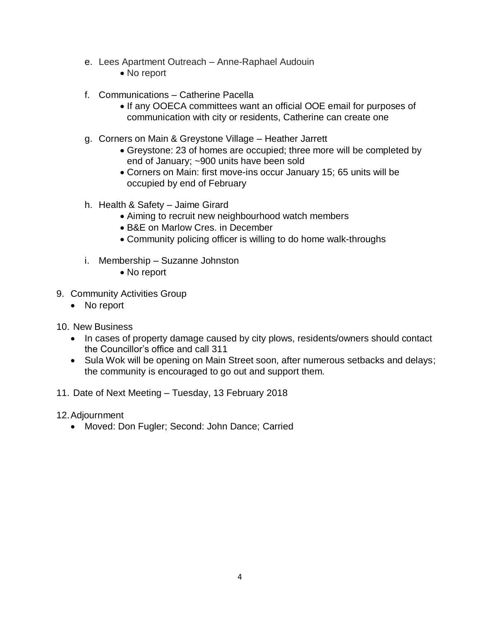- e. Lees Apartment Outreach Anne-Raphael Audouin
	- No report
- f. Communications Catherine Pacella
	- If any OOECA committees want an official OOE email for purposes of communication with city or residents, Catherine can create one
- g. Corners on Main & Greystone Village Heather Jarrett
	- Greystone: 23 of homes are occupied; three more will be completed by end of January; ~900 units have been sold
	- Corners on Main: first move-ins occur January 15; 65 units will be occupied by end of February
- h. Health & Safety Jaime Girard
	- Aiming to recruit new neighbourhood watch members
	- B&E on Marlow Cres. in December
	- Community policing officer is willing to do home walk-throughs
- i. Membership Suzanne Johnston
	- No report
- 9. Community Activities Group
	- No report
- 10. New Business
	- In cases of property damage caused by city plows, residents/owners should contact the Councillor's office and call 311
	- Sula Wok will be opening on Main Street soon, after numerous setbacks and delays; the community is encouraged to go out and support them.
- 11. Date of Next Meeting Tuesday, 13 February 2018
- 12.Adjournment
	- Moved: Don Fugler; Second: John Dance; Carried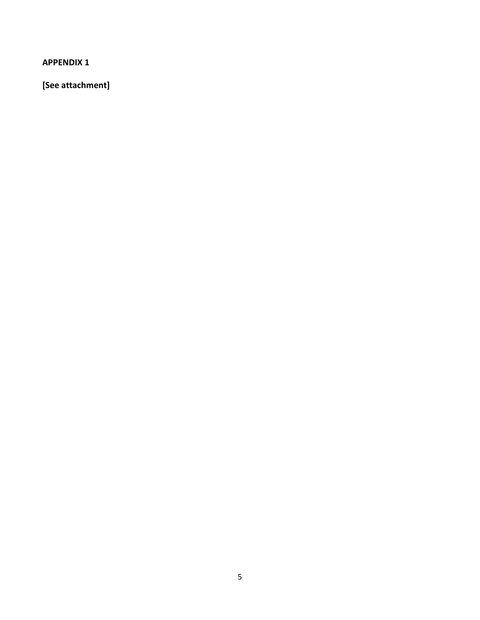**[See attachment]**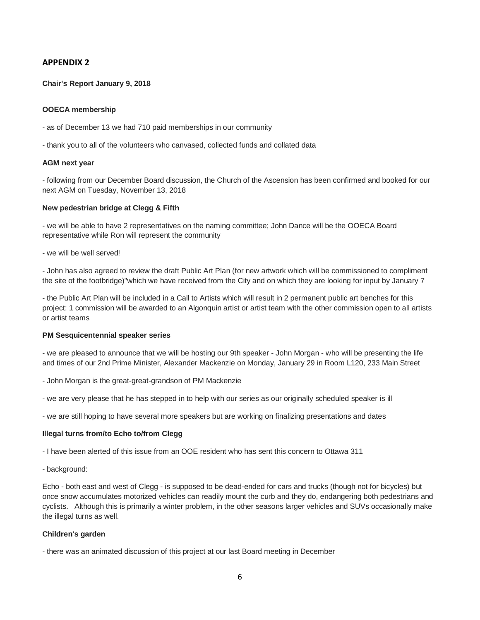### **Chair's Report January 9, 2018**

### **OOECA membership**

- as of December 13 we had 710 paid memberships in our community
- thank you to all of the volunteers who canvased, collected funds and collated data

#### **AGM next year**

- following from our December Board discussion, the Church of the Ascension has been confirmed and booked for our next AGM on Tuesday, November 13, 2018

#### **New pedestrian bridge at Clegg & Fifth**

- we will be able to have 2 representatives on the naming committee; John Dance will be the OOECA Board representative while Ron will represent the community

- we will be well served!

- John has also agreed to review the draft Public Art Plan (for new artwork which will be commissioned to compliment the site of the footbridge)"which we have received from the City and on which they are looking for input by January 7

- the Public Art Plan will be included in a Call to Artists which will result in 2 permanent public art benches for this project: 1 commission will be awarded to an Algonquin artist or artist team with the other commission open to all artists or artist teams

#### **PM Sesquicentennial speaker series**

- we are pleased to announce that we will be hosting our 9th speaker - John Morgan - who will be presenting the life and times of our 2nd Prime Minister, Alexander Mackenzie on Monday, January 29 in Room L120, 233 Main Street

- John Morgan is the great-great-grandson of PM Mackenzie
- we are very please that he has stepped in to help with our series as our originally scheduled speaker is ill
- we are still hoping to have several more speakers but are working on finalizing presentations and dates

### **Illegal turns from/to Echo to/from Clegg**

- I have been alerted of this issue from an OOE resident who has sent this concern to Ottawa 311

- background:

Echo - both east and west of Clegg - is supposed to be dead-ended for cars and trucks (though not for bicycles) but once snow accumulates motorized vehicles can readily mount the curb and they do, endangering both pedestrians and cyclists. Although this is primarily a winter problem, in the other seasons larger vehicles and SUVs occasionally make the illegal turns as well.

### **Children's garden**

- there was an animated discussion of this project at our last Board meeting in December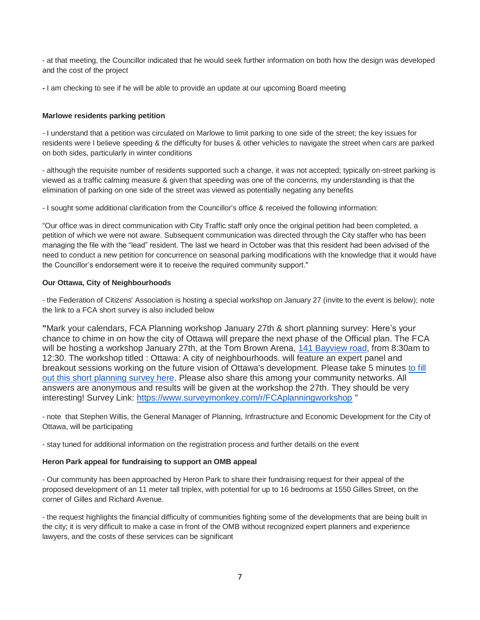- at that meeting, the Councillor indicated that he would seek further information on both how the design was developed and the cost of the project

**-** I am checking to see if he will be able to provide an update at our upcoming Board meeting

### **Marlowe residents parking petition**

- I understand that a petition was circulated on Marlowe to limit parking to one side of the street; the key issues for residents were I believe speeding & the difficulty for buses & other vehicles to navigate the street when cars are parked on both sides, particularly in winter conditions

- although the requisite number of residents supported such a change, it was not accepted; typically on-street parking is viewed as a traffic calming measure & given that speeding was one of the concerns, my understanding is that the elimination of parking on one side of the street was viewed as potentially negating any benefits

- I sought some additional clarification from the Councillor's office & received the following information:

"Our office was in direct communication with City Traffic staff only once the original petition had been completed, a petition of which we were not aware. Subsequent communication was directed through the City staffer who has been managing the file with the "lead" resident. The last we heard in October was that this resident had been advised of the need to conduct a new petition for concurrence on seasonal parking modifications with the knowledge that it would have the Councillor's endorsement were it to receive the required community support."

## **Our Ottawa, City of Neighbourhoods**

- the Federation of Citizens' Association is hosting a special workshop on January 27 (invite to the event is below); note the link to a FCA short survey is also included below

**"**Mark your calendars, FCA Planning workshop January 27th & short planning survey: Here's your chance to chime in on how the city of Ottawa will prepare the next phase of the Official plan. The FCA will be hosting a workshop January 27th, at the Tom Brown Arena, [141 Bayview road,](https://maps.google.com/?q=141+Bayview+road&entry=gmail&source=g) from 8:30am to 12:30. The workshop titled : Ottawa: A city of neighbourhoods. will feature an expert panel and breakout sessions working on the future vision of Ottawa's development. Please take 5 minutes [to fill](https://fca-fac.us9.list-manage.com/track/click?u=a27879f3aba0015f3fdd0f6be&id=65dd0e9b51&e=1be487a6d9)  [out this short planning survey here.](https://fca-fac.us9.list-manage.com/track/click?u=a27879f3aba0015f3fdd0f6be&id=65dd0e9b51&e=1be487a6d9) Please also share this among your community networks. All answers are anonymous and results will be given at the workshop the 27th. They should be very interesting! Survey Link: [https://www.surveymonkey.com/r/FCAplanningworkshop](https://fca-fac.us9.list-manage.com/track/click?u=a27879f3aba0015f3fdd0f6be&id=7123c27402&e=1be487a6d9) "

- note that Stephen Willis, the General Manager of Planning, Infrastructure and Economic Development for the City of Ottawa, will be participating

- stay tuned for additional information on the registration process and further details on the event

### **Heron Park appeal for fundraising to support an OMB appeal**

- Our community has been approached by Heron Park to share their fundraising request for their appeal of the proposed development of an 11 meter tall triplex, with potential for up to 16 bedrooms at 1550 Gilles Street, on the corner of Gilles and Richard Avenue.

- the request highlights the financial difficulty of communities fighting some of the developments that are being built in the city; it is very difficult to make a case in front of the OMB without recognized expert planners and experience lawyers, and the costs of these services can be significant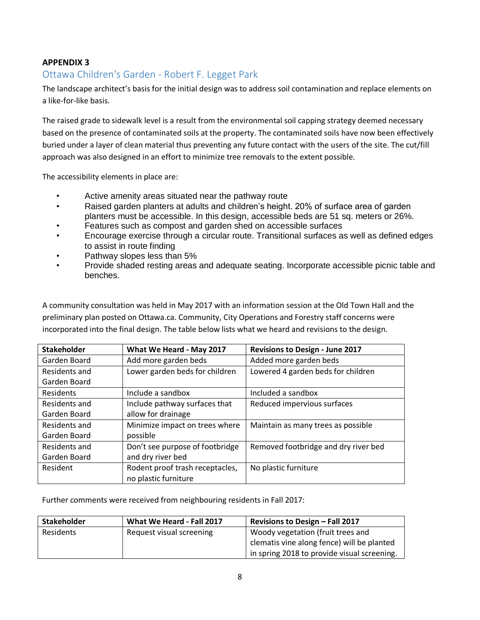# Ottawa Children's Garden - Robert F. Legget Park

The landscape architect's basis for the initial design was to address soil contamination and replace elements on a like-for-like basis.

The raised grade to sidewalk level is a result from the environmental soil capping strategy deemed necessary based on the presence of contaminated soils at the property. The contaminated soils have now been effectively buried under a layer of clean material thus preventing any future contact with the users of the site. The cut/fill approach was also designed in an effort to minimize tree removals to the extent possible.

The accessibility elements in place are:

- Active amenity areas situated near the pathway route
- Raised garden planters at adults and children's height. 20% of surface area of garden planters must be accessible. In this design, accessible beds are 51 sq. meters or 26%.
- Features such as compost and garden shed on accessible surfaces
- Encourage exercise through a circular route. Transitional surfaces as well as defined edges to assist in route finding
- Pathway slopes less than 5%
- Provide shaded resting areas and adequate seating. Incorporate accessible picnic table and benches.

A community consultation was held in May 2017 with an information session at the Old Town Hall and the preliminary plan posted on Ottawa.ca. Community, City Operations and Forestry staff concerns were incorporated into the final design. The table below lists what we heard and revisions to the design.

| <b>Stakeholder</b> | What We Heard - May 2017                                | <b>Revisions to Design - June 2017</b> |
|--------------------|---------------------------------------------------------|----------------------------------------|
| Garden Board       | Add more garden beds                                    | Added more garden beds                 |
| Residents and      | Lower garden beds for children                          | Lowered 4 garden beds for children     |
| Garden Board       |                                                         |                                        |
| Residents          | Include a sandbox                                       | Included a sandbox                     |
| Residents and      | Include pathway surfaces that                           | Reduced impervious surfaces            |
| Garden Board       | allow for drainage                                      |                                        |
| Residents and      | Minimize impact on trees where                          | Maintain as many trees as possible     |
| Garden Board       | possible                                                |                                        |
| Residents and      | Don't see purpose of footbridge                         | Removed footbridge and dry river bed   |
| Garden Board       | and dry river bed                                       |                                        |
| Resident           | Rodent proof trash receptacles,<br>no plastic furniture | No plastic furniture                   |

Further comments were received from neighbouring residents in Fall 2017:

| <b>Stakeholder</b> | What We Heard - Fall 2017 | Revisions to Design - Fall 2017             |
|--------------------|---------------------------|---------------------------------------------|
| Residents          | Request visual screening  | Woody vegetation (fruit trees and           |
|                    |                           | clematis vine along fence) will be planted  |
|                    |                           | in spring 2018 to provide visual screening. |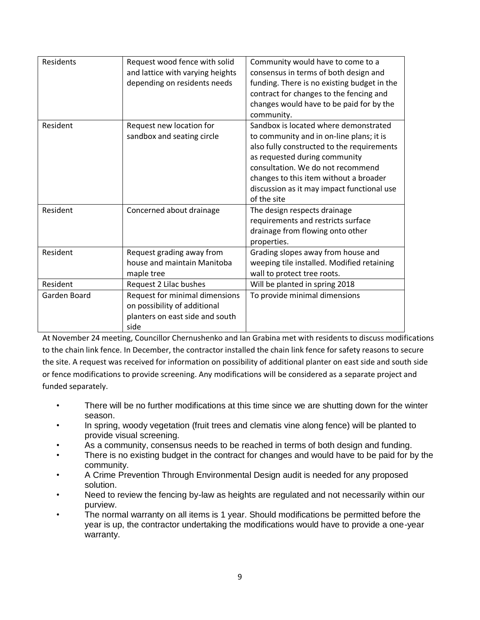| Residents    | Request wood fence with solid    | Community would have to come to a           |
|--------------|----------------------------------|---------------------------------------------|
|              | and lattice with varying heights | consensus in terms of both design and       |
|              | depending on residents needs     | funding. There is no existing budget in the |
|              |                                  | contract for changes to the fencing and     |
|              |                                  | changes would have to be paid for by the    |
|              |                                  | community.                                  |
| Resident     | Request new location for         | Sandbox is located where demonstrated       |
|              | sandbox and seating circle       | to community and in on-line plans; it is    |
|              |                                  | also fully constructed to the requirements  |
|              |                                  | as requested during community               |
|              |                                  | consultation. We do not recommend           |
|              |                                  | changes to this item without a broader      |
|              |                                  | discussion as it may impact functional use  |
|              |                                  | of the site                                 |
| Resident     | Concerned about drainage         | The design respects drainage                |
|              |                                  | requirements and restricts surface          |
|              |                                  | drainage from flowing onto other            |
|              |                                  | properties.                                 |
| Resident     | Request grading away from        | Grading slopes away from house and          |
|              | house and maintain Manitoba      | weeping tile installed. Modified retaining  |
|              | maple tree                       | wall to protect tree roots.                 |
| Resident     | Request 2 Lilac bushes           | Will be planted in spring 2018              |
| Garden Board | Request for minimal dimensions   | To provide minimal dimensions               |
|              | on possibility of additional     |                                             |
|              | planters on east side and south  |                                             |
|              | side                             |                                             |

At November 24 meeting, Councillor Chernushenko and Ian Grabina met with residents to discuss modifications to the chain link fence. In December, the contractor installed the chain link fence for safety reasons to secure the site. A request was received for information on possibility of additional planter on east side and south side or fence modifications to provide screening. Any modifications will be considered as a separate project and funded separately.

- There will be no further modifications at this time since we are shutting down for the winter season.
- In spring, woody vegetation (fruit trees and clematis vine along fence) will be planted to provide visual screening.
- As a community, consensus needs to be reached in terms of both design and funding.
- There is no existing budget in the contract for changes and would have to be paid for by the community.
- A Crime Prevention Through Environmental Design audit is needed for any proposed solution.
- Need to review the fencing by-law as heights are regulated and not necessarily within our purview.
- The normal warranty on all items is 1 year. Should modifications be permitted before the year is up, the contractor undertaking the modifications would have to provide a one-year warranty.